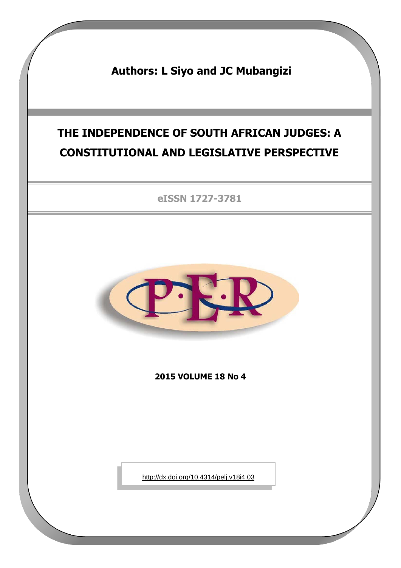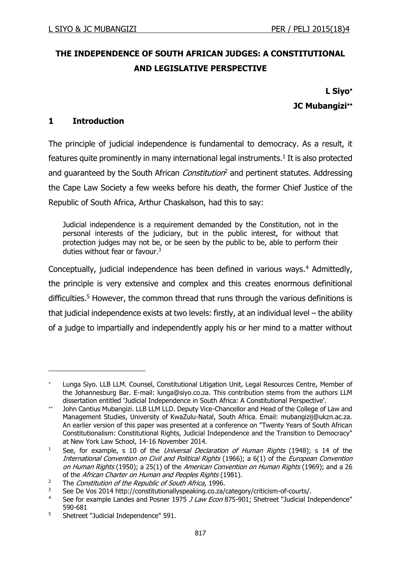# **THE INDEPENDENCE OF SOUTH AFRICAN JUDGES: A CONSTITUTIONAL AND LEGISLATIVE PERSPECTIVE**

**L Siyo JC Mubangizi**

## **1 Introduction**

-

The principle of judicial independence is fundamental to democracy. As a result, it features quite prominently in many international legal instruments. $<sup>1</sup>$  It is also protected</sup> and guaranteed by the South African *Constitution*<sup>2</sup> and pertinent statutes. Addressing the Cape Law Society a few weeks before his death, the former Chief Justice of the Republic of South Africa, Arthur Chaskalson, had this to say:

Judicial independence is a requirement demanded by the Constitution, not in the personal interests of the judiciary, but in the public interest, for without that protection judges may not be, or be seen by the public to be, able to perform their duties without fear or favour. $3$ 

Conceptually, judicial independence has been defined in various ways.<sup>4</sup> Admittedly, the principle is very extensive and complex and this creates enormous definitional difficulties.<sup>5</sup> However, the common thread that runs through the various definitions is that judicial independence exists at two levels: firstly, at an individual level – the ability of a judge to impartially and independently apply his or her mind to a matter without

<sup>5</sup> Shetreet "Judicial Independence" 591.

Lunga Siyo. LLB LLM. Counsel, Constitutional Litigation Unit, Legal Resources Centre, Member of the Johannesburg Bar. E-mail: lunga@siyo.co.za. This contribution stems from the authors LLM dissertation entitled 'Judicial Independence in South Africa: A Constitutional Perspective'.

<sup>\*\*</sup> John Cantius Mubangizi. LLB LLM LLD. Deputy Vice-Chancellor and Head of the College of Law and Management Studies, University of KwaZulu-Natal, South Africa. Email: mubangizij@ukzn.ac.za. An earlier version of this paper was presented at a conference on "Twenty Years of South African Constitutionalism: Constitutional Rights, Judicial Independence and the Transition to Democracy" at New York Law School, 14-16 November 2014.

<sup>&</sup>lt;sup>1</sup> See, for example, s 10 of the *Universal Declaration of Human Rights* (1948); s 14 of the International Convention on Civil and Political Rights (1966); a 6(1) of the European Convention on Human Rights (1950); a 25(1) of the American Convention on Human Rights (1969); and a 26 of the African Charter on Human and Peoples Rights (1981).

<sup>&</sup>lt;sup>2</sup> The Constitution of the Republic of South Africa, 1996.

<sup>&</sup>lt;sup>3</sup> See De Vos 2014 http://constitutionallyspeaking.co.za/category/criticism-of-courts/.<br><sup>4</sup> See for example Landes and Pesper 1975, *1.1 aw Econ* 875-001; Shetreet "Judicial In

See for example Landes and Posner 1975 J Law Econ 875-901; Shetreet "Judicial Independence" 590-681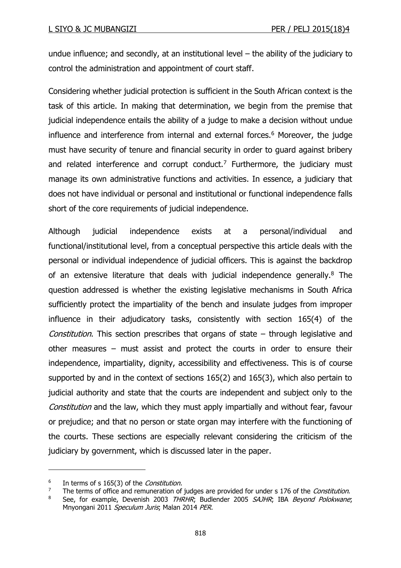undue influence; and secondly, at an institutional level – the ability of the judiciary to control the administration and appointment of court staff.

Considering whether judicial protection is sufficient in the South African context is the task of this article. In making that determination, we begin from the premise that judicial independence entails the ability of a judge to make a decision without undue influence and interference from internal and external forces.<sup>6</sup> Moreover, the judge must have security of tenure and financial security in order to guard against bribery and related interference and corrupt conduct.<sup>7</sup> Furthermore, the judiciary must manage its own administrative functions and activities. In essence, a judiciary that does not have individual or personal and institutional or functional independence falls short of the core requirements of judicial independence.

Although judicial independence exists at a personal/individual and functional/institutional level, from a conceptual perspective this article deals with the personal or individual independence of judicial officers. This is against the backdrop of an extensive literature that deals with judicial independence generally.<sup>8</sup> The question addressed is whether the existing legislative mechanisms in South Africa sufficiently protect the impartiality of the bench and insulate judges from improper influence in their adjudicatory tasks, consistently with section 165(4) of the *Constitution*. This section prescribes that organs of state  $-$  through legislative and other measures – must assist and protect the courts in order to ensure their independence, impartiality, dignity, accessibility and effectiveness. This is of course supported by and in the context of sections 165(2) and 165(3), which also pertain to judicial authority and state that the courts are independent and subject only to the Constitution and the law, which they must apply impartially and without fear, favour or prejudice; and that no person or state organ may interfere with the functioning of the courts. These sections are especially relevant considering the criticism of the judiciary by government, which is discussed later in the paper.

<sup>6</sup> In terms of s 165(3) of the Constitution.

<sup>&</sup>lt;sup>7</sup> The terms of office and remuneration of judges are provided for under s 176 of the *Constitution*.

See, for example, Devenish 2003 THRHR; Budlender 2005 SAJHR; IBA Beyond Polokwane; Mnyongani 2011 Speculum Juris; Malan 2014 PER.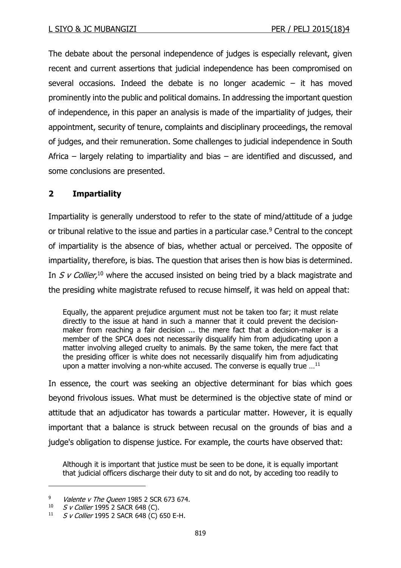The debate about the personal independence of judges is especially relevant, given recent and current assertions that judicial independence has been compromised on several occasions. Indeed the debate is no longer academic – it has moved prominently into the public and political domains. In addressing the important question of independence, in this paper an analysis is made of the impartiality of judges, their appointment, security of tenure, complaints and disciplinary proceedings, the removal of judges, and their remuneration. Some challenges to judicial independence in South Africa – largely relating to impartiality and bias – are identified and discussed, and some conclusions are presented.

## **2 Impartiality**

Impartiality is generally understood to refer to the state of mind/attitude of a judge or tribunal relative to the issue and parties in a particular case.<sup>9</sup> Central to the concept of impartiality is the absence of bias, whether actual or perceived. The opposite of impartiality, therefore, is bias. The question that arises then is how bias is determined. In  $S$  v Collier,<sup>10</sup> where the accused insisted on being tried by a black magistrate and the presiding white magistrate refused to recuse himself, it was held on appeal that:

Equally, the apparent prejudice argument must not be taken too far; it must relate directly to the issue at hand in such a manner that it could prevent the decisionmaker from reaching a fair decision ... the mere fact that a decision-maker is a member of the SPCA does not necessarily disqualify him from adjudicating upon a matter involving alleged cruelty to animals. By the same token, the mere fact that the presiding officer is white does not necessarily disqualify him from adjudicating upon a matter involving a non-white accused. The converse is equally true ...<sup>11</sup>

In essence, the court was seeking an objective determinant for bias which goes beyond frivolous issues. What must be determined is the objective state of mind or attitude that an adjudicator has towards a particular matter. However, it is equally important that a balance is struck between recusal on the grounds of bias and a judge's obligation to dispense justice. For example, the courts have observed that:

Although it is important that justice must be seen to be done, it is equally important that judicial officers discharge their duty to sit and do not, by acceding too readily to

<sup>&</sup>lt;sup>9</sup> Valente v The Queen 1985 2 SCR 673 674.

<sup>10</sup> S v Collier 1995 2 SACR 648 (C).

<sup>11</sup> S v Collier 1995 2 SACR 648 (C) 650 E-H.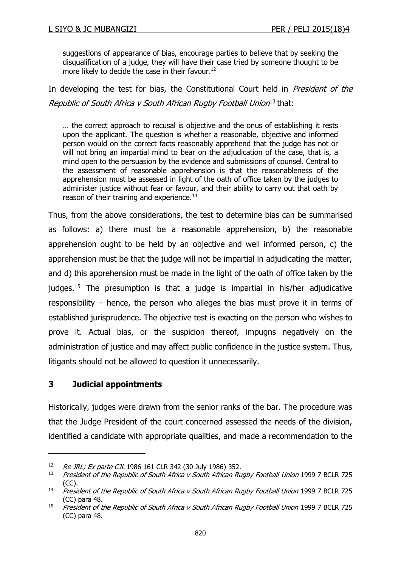suggestions of appearance of bias, encourage parties to believe that by seeking the disqualification of a judge, they will have their case tried by someone thought to be more likely to decide the case in their favour.<sup>12</sup>

In developing the test for bias, the Constitutional Court held in *President of the* Republic of South Africa v South African Rugby Football Union<sup>13</sup> that:

… the correct approach to recusal is objective and the onus of establishing it rests upon the applicant. The question is whether a reasonable, objective and informed person would on the correct facts reasonably apprehend that the judge has not or will not bring an impartial mind to bear on the adjudication of the case, that is, a mind open to the persuasion by the evidence and submissions of counsel. Central to the assessment of reasonable apprehension is that the reasonableness of the apprehension must be assessed in light of the oath of office taken by the judges to administer justice without fear or favour, and their ability to carry out that oath by reason of their training and experience.<sup>14</sup>

Thus, from the above considerations, the test to determine bias can be summarised as follows: a) there must be a reasonable apprehension, b) the reasonable apprehension ought to be held by an objective and well informed person, c) the apprehension must be that the judge will not be impartial in adjudicating the matter, and d) this apprehension must be made in the light of the oath of office taken by the judges.<sup>15</sup> The presumption is that a judge is impartial in his/her adjudicative responsibility – hence, the person who alleges the bias must prove it in terms of established jurisprudence. The objective test is exacting on the person who wishes to prove it. Actual bias, or the suspicion thereof, impugns negatively on the administration of justice and may affect public confidence in the justice system. Thus, litigants should not be allowed to question it unnecessarily.

## **3 Judicial appointments**

-

Historically, judges were drawn from the senior ranks of the bar. The procedure was that the Judge President of the court concerned assessed the needs of the division, identified a candidate with appropriate qualities, and made a recommendation to the

<sup>&</sup>lt;sup>12</sup> Re JRL; Ex parte CJL 1986 161 CLR 342 (30 July 1986) 352.<br><sup>13</sup> Precident of the Republic of South Africa y South African Bu

President of the Republic of South Africa v South African Rugby Football Union 1999 7 BCLR 725 (CC).

<sup>&</sup>lt;sup>14</sup> President of the Republic of South Africa v South African Rugby Football Union 1999 7 BCLR 725 (CC) para 48.

<sup>&</sup>lt;sup>15</sup> President of the Republic of South Africa v South African Rugby Football Union 1999 7 BCLR 725 (CC) para 48.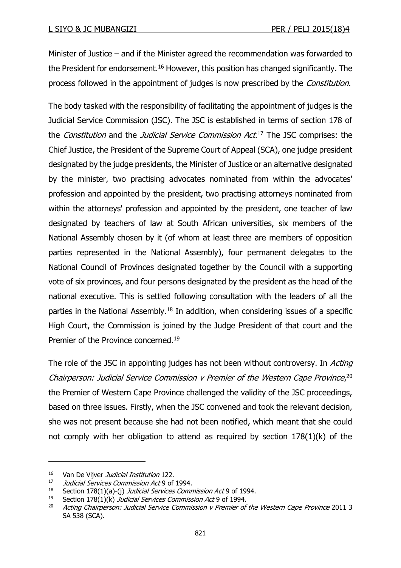Minister of Justice – and if the Minister agreed the recommendation was forwarded to the President for endorsement.<sup>16</sup> However, this position has changed significantly. The process followed in the appointment of judges is now prescribed by the *Constitution*.

The body tasked with the responsibility of facilitating the appointment of judges is the Judicial Service Commission (JSC). The JSC is established in terms of section 178 of the *Constitution* and the *Judicial Service Commission Act*.<sup>17</sup> The JSC comprises: the Chief Justice, the President of the Supreme Court of Appeal (SCA), one judge president designated by the judge presidents, the Minister of Justice or an alternative designated by the minister, two practising advocates nominated from within the advocates' profession and appointed by the president, two practising attorneys nominated from within the attorneys' profession and appointed by the president, one teacher of law designated by teachers of law at South African universities, six members of the National Assembly chosen by it (of whom at least three are members of opposition parties represented in the National Assembly), four permanent delegates to the National Council of Provinces designated together by the Council with a supporting vote of six provinces, and four persons designated by the president as the head of the national executive. This is settled following consultation with the leaders of all the parties in the National Assembly.<sup>18</sup> In addition, when considering issues of a specific High Court, the Commission is joined by the Judge President of that court and the Premier of the Province concerned.<sup>19</sup>

The role of the JSC in appointing judges has not been without controversy. In Acting Chairperson: Judicial Service Commission v Premier of the Western Cape Province, 20 the Premier of Western Cape Province challenged the validity of the JSC proceedings, based on three issues. Firstly, when the JSC convened and took the relevant decision, she was not present because she had not been notified, which meant that she could not comply with her obligation to attend as required by section 178(1)(k) of the

<sup>&</sup>lt;sup>16</sup> Van De Vijver *Judicial Institution* 122.

<sup>&</sup>lt;sup>17</sup> Judicial Services Commission Act 9 of 1994.

<sup>&</sup>lt;sup>18</sup> Section 178(1)(a)-(j) *Judicial Services Commission Act* 9 of 1994.

<sup>19</sup> Section 178(1)(k) Judicial Services Commission Act 9 of 1994.<br>20 Acting Chairnerson: Judicial Service Commission y Premier of

<sup>20</sup> Acting Chairperson: Judicial Service Commission v Premier of the Western Cape Province 2011 3 SA 538 (SCA).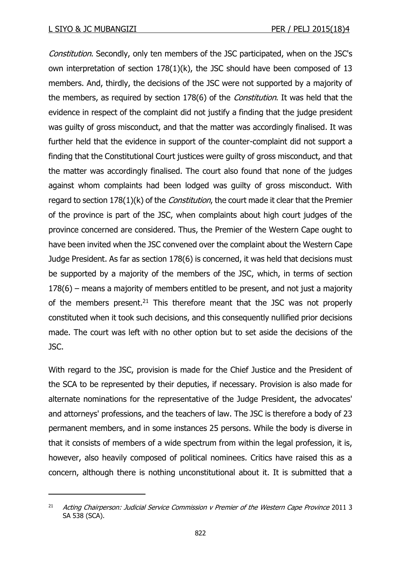Constitution. Secondly, only ten members of the JSC participated, when on the JSC's own interpretation of section 178(1)(k), the JSC should have been composed of 13 members. And, thirdly, the decisions of the JSC were not supported by a majority of the members, as required by section 178(6) of the *Constitution*. It was held that the evidence in respect of the complaint did not justify a finding that the judge president was guilty of gross misconduct, and that the matter was accordingly finalised. It was further held that the evidence in support of the counter-complaint did not support a finding that the Constitutional Court justices were guilty of gross misconduct, and that the matter was accordingly finalised. The court also found that none of the judges against whom complaints had been lodged was guilty of gross misconduct. With regard to section 178(1)(k) of the *Constitution*, the court made it clear that the Premier of the province is part of the JSC, when complaints about high court judges of the province concerned are considered. Thus, the Premier of the Western Cape ought to have been invited when the JSC convened over the complaint about the Western Cape Judge President. As far as section 178(6) is concerned, it was held that decisions must be supported by a majority of the members of the JSC, which, in terms of section 178(6) – means a majority of members entitled to be present, and not just a majority of the members present.<sup>21</sup> This therefore meant that the JSC was not properly constituted when it took such decisions, and this consequently nullified prior decisions made. The court was left with no other option but to set aside the decisions of the JSC.

With regard to the JSC, provision is made for the Chief Justice and the President of the SCA to be represented by their deputies, if necessary. Provision is also made for alternate nominations for the representative of the Judge President, the advocates' and attorneys' professions, and the teachers of law. The JSC is therefore a body of 23 permanent members, and in some instances 25 persons. While the body is diverse in that it consists of members of a wide spectrum from within the legal profession, it is, however, also heavily composed of political nominees. Critics have raised this as a concern, although there is nothing unconstitutional about it. It is submitted that a

<sup>&</sup>lt;sup>21</sup> Acting Chairperson: Judicial Service Commission  $v$  Premier of the Western Cape Province 2011 3 SA 538 (SCA).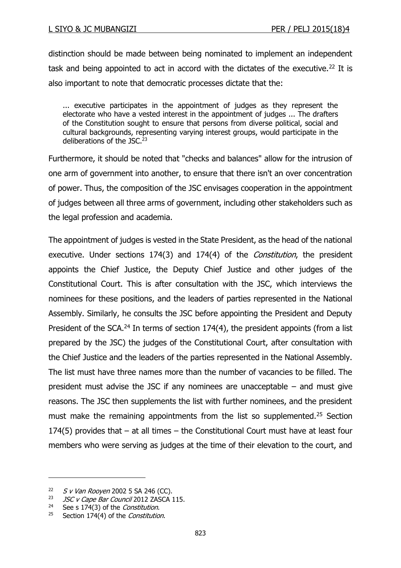distinction should be made between being nominated to implement an independent task and being appointed to act in accord with the dictates of the executive.<sup>22</sup> It is also important to note that democratic processes dictate that the:

... executive participates in the appointment of judges as they represent the electorate who have a vested interest in the appointment of judges ... The drafters of the Constitution sought to ensure that persons from diverse political, social and cultural backgrounds, representing varying interest groups, would participate in the deliberations of the JSC.<sup>23</sup>

Furthermore, it should be noted that "checks and balances" allow for the intrusion of one arm of government into another, to ensure that there isn't an over concentration of power. Thus, the composition of the JSC envisages cooperation in the appointment of judges between all three arms of government, including other stakeholders such as the legal profession and academia.

The appointment of judges is vested in the State President, as the head of the national executive. Under sections 174(3) and 174(4) of the *Constitution*, the president appoints the Chief Justice, the Deputy Chief Justice and other judges of the Constitutional Court. This is after consultation with the JSC, which interviews the nominees for these positions, and the leaders of parties represented in the National Assembly. Similarly, he consults the JSC before appointing the President and Deputy President of the SCA.<sup>24</sup> In terms of section  $174(4)$ , the president appoints (from a list prepared by the JSC) the judges of the Constitutional Court, after consultation with the Chief Justice and the leaders of the parties represented in the National Assembly. The list must have three names more than the number of vacancies to be filled. The president must advise the JSC if any nominees are unacceptable – and must give reasons. The JSC then supplements the list with further nominees, and the president must make the remaining appointments from the list so supplemented.<sup>25</sup> Section  $174(5)$  provides that  $-$  at all times  $-$  the Constitutional Court must have at least four members who were serving as judges at the time of their elevation to the court, and

<sup>&</sup>lt;sup>22</sup> S v Van Rooyen 2002 5 SA 246 (CC).<br><sup>23</sup> ISC v Cane Bar Council 2012 ZASCA 1

<sup>&</sup>lt;sup>23</sup> *JSC v Cape Bar Council* 2012 ZASCA 115.<br><sup>24</sup> See s 174(3) of the *Constitution* 

See s 174(3) of the Constitution.

<sup>&</sup>lt;sup>25</sup> Section 174(4) of the *Constitution*.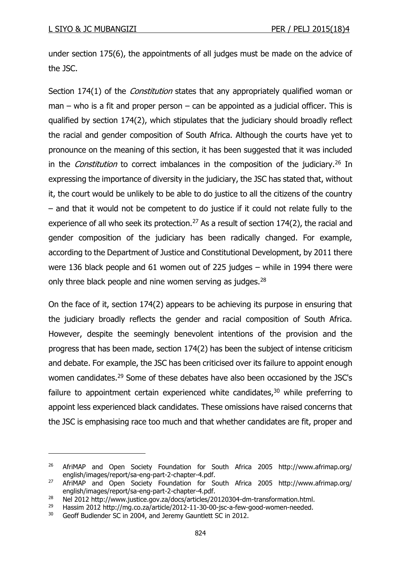under section 175(6), the appointments of all judges must be made on the advice of the JSC.

Section 174(1) of the *Constitution* states that any appropriately qualified woman or man – who is a fit and proper person – can be appointed as a judicial officer. This is qualified by section 174(2), which stipulates that the judiciary should broadly reflect the racial and gender composition of South Africa. Although the courts have yet to pronounce on the meaning of this section, it has been suggested that it was included in the *Constitution* to correct imbalances in the composition of the judiciary.<sup>26</sup> In expressing the importance of diversity in the judiciary, the JSC has stated that, without it, the court would be unlikely to be able to do justice to all the citizens of the country – and that it would not be competent to do justice if it could not relate fully to the experience of all who seek its protection.<sup>27</sup> As a result of section 174(2), the racial and gender composition of the judiciary has been radically changed. For example, according to the Department of Justice and Constitutional Development, by 2011 there were 136 black people and 61 women out of 225 judges – while in 1994 there were only three black people and nine women serving as judges.<sup>28</sup>

On the face of it, section 174(2) appears to be achieving its purpose in ensuring that the judiciary broadly reflects the gender and racial composition of South Africa. However, despite the seemingly benevolent intentions of the provision and the progress that has been made, section 174(2) has been the subject of intense criticism and debate. For example, the JSC has been criticised over its failure to appoint enough women candidates.<sup>29</sup> Some of these debates have also been occasioned by the JSC's failure to appointment certain experienced white candidates,<sup>30</sup> while preferring to appoint less experienced black candidates. These omissions have raised concerns that the JSC is emphasising race too much and that whether candidates are fit, proper and

<sup>26</sup> AfriMAP and Open Society Foundation for South Africa 2005 http://www.afrimap.org/ english/images/report/sa-eng-part-2-chapter-4.pdf.

<sup>27</sup> AfriMAP and Open Society Foundation for South Africa 2005 http://www.afrimap.org/ english/images/report/sa-eng-part-2-chapter-4.pdf.

<sup>28</sup> Nel 2012 http://www.justice.gov.za/docs/articles/20120304-dm-transformation.html.

<sup>29</sup> Hassim 2012 http://mg.co.za/article/2012-11-30-00-jsc-a-few-good-women-needed.

<sup>&</sup>lt;sup>30</sup> Geoff Budlender SC in 2004, and Jeremy Gauntlett SC in 2012.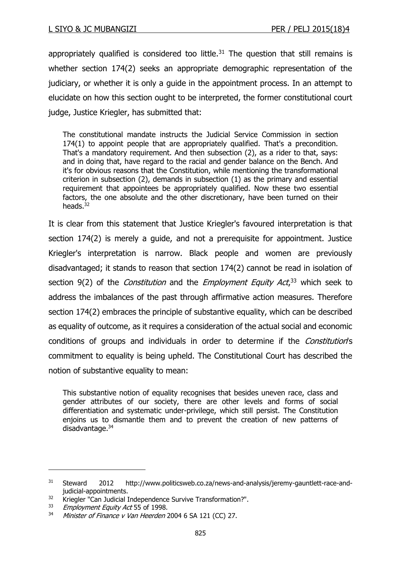appropriately qualified is considered too little.<sup>31</sup> The question that still remains is whether section 174(2) seeks an appropriate demographic representation of the judiciary, or whether it is only a guide in the appointment process. In an attempt to elucidate on how this section ought to be interpreted, the former constitutional court judge, Justice Kriegler, has submitted that:

The constitutional mandate instructs the Judicial Service Commission in section 174(1) to appoint people that are appropriately qualified. That's a precondition. That's a mandatory requirement. And then subsection (2), as a rider to that, says: and in doing that, have regard to the racial and gender balance on the Bench. And it's for obvious reasons that the Constitution, while mentioning the transformational criterion in subsection (2), demands in subsection (1) as the primary and essential requirement that appointees be appropriately qualified. Now these two essential factors, the one absolute and the other discretionary, have been turned on their heads.<sup>32</sup>

It is clear from this statement that Justice Kriegler's favoured interpretation is that section 174(2) is merely a guide, and not a prerequisite for appointment. Justice Kriegler's interpretation is narrow. Black people and women are previously disadvantaged; it stands to reason that section 174(2) cannot be read in isolation of section 9(2) of the *Constitution* and the *Employment Equity Act*,<sup>33</sup> which seek to address the imbalances of the past through affirmative action measures. Therefore section 174(2) embraces the principle of substantive equality, which can be described as equality of outcome, as it requires a consideration of the actual social and economic conditions of groups and individuals in order to determine if the *Constitution*'s commitment to equality is being upheld. The Constitutional Court has described the notion of substantive equality to mean:

This substantive notion of equality recognises that besides uneven race, class and gender attributes of our society, there are other levels and forms of social differentiation and systematic under-privilege, which still persist. The Constitution enjoins us to dismantle them and to prevent the creation of new patterns of disadvantage.<sup>34</sup>

<sup>&</sup>lt;sup>31</sup> Steward 2012 http://www.politicsweb.co.za/news-and-analysis/jeremy-gauntlett-race-andjudicial-appointments.

<sup>&</sup>lt;sup>32</sup> Kriegler "Can Judicial Independence Survive Transformation?".<br><sup>33</sup> *Employment Fauity Act* 55 of 1998

Employment Equity Act 55 of 1998.

<sup>&</sup>lt;sup>34</sup> Minister of Finance v Van Heerden 2004 6 SA 121 (CC) 27.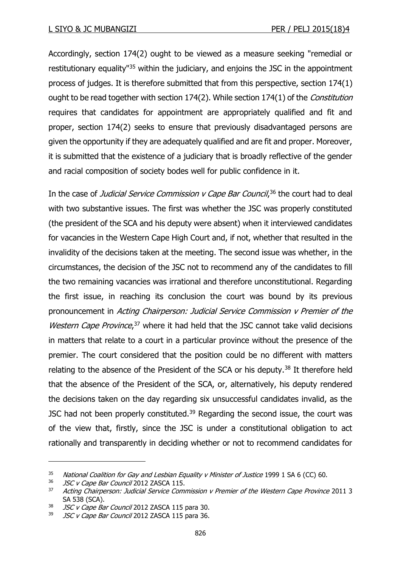Accordingly, section 174(2) ought to be viewed as a measure seeking "remedial or restitutionary equality<sup>"35</sup> within the judiciary, and enjoins the JSC in the appointment process of judges. It is therefore submitted that from this perspective, section 174(1) ought to be read together with section 174(2). While section 174(1) of the *Constitution* requires that candidates for appointment are appropriately qualified and fit and proper, section 174(2) seeks to ensure that previously disadvantaged persons are given the opportunity if they are adequately qualified and are fit and proper. Moreover, it is submitted that the existence of a judiciary that is broadly reflective of the gender and racial composition of society bodes well for public confidence in it.

In the case of *Judicial Service Commission v Cape Bar Council*,<sup>36</sup> the court had to deal with two substantive issues. The first was whether the JSC was properly constituted (the president of the SCA and his deputy were absent) when it interviewed candidates for vacancies in the Western Cape High Court and, if not, whether that resulted in the invalidity of the decisions taken at the meeting. The second issue was whether, in the circumstances, the decision of the JSC not to recommend any of the candidates to fill the two remaining vacancies was irrational and therefore unconstitutional. Regarding the first issue, in reaching its conclusion the court was bound by its previous pronouncement in Acting Chairperson: Judicial Service Commission v Premier of the Western Cape Province,<sup>37</sup> where it had held that the JSC cannot take valid decisions in matters that relate to a court in a particular province without the presence of the premier. The court considered that the position could be no different with matters relating to the absence of the President of the SCA or his deputy.<sup>38</sup> It therefore held that the absence of the President of the SCA, or, alternatively, his deputy rendered the decisions taken on the day regarding six unsuccessful candidates invalid, as the JSC had not been properly constituted.<sup>39</sup> Regarding the second issue, the court was of the view that, firstly, since the JSC is under a constitutional obligation to act rationally and transparently in deciding whether or not to recommend candidates for

 $35$  National Coalition for Gay and Lesbian Equality v Minister of Justice 1999 1 SA 6 (CC) 60.<br> $36$  ICC v Cano Bar Council 2012 ZASCA 115

 $36$  JSC v Cape Bar Council 2012 ZASCA 115.<br> $37$  Acting Chairperson: Judicial Senvice Comu

<sup>37</sup> Acting Chairperson: Judicial Service Commission v Premier of the Western Cape Province 2011 3 SA 538 (SCA).

<sup>38</sup> JSC v Cape Bar Council 2012 ZASCA 115 para 30.

<sup>39</sup> JSC v Cape Bar Council 2012 ZASCA 115 para 36.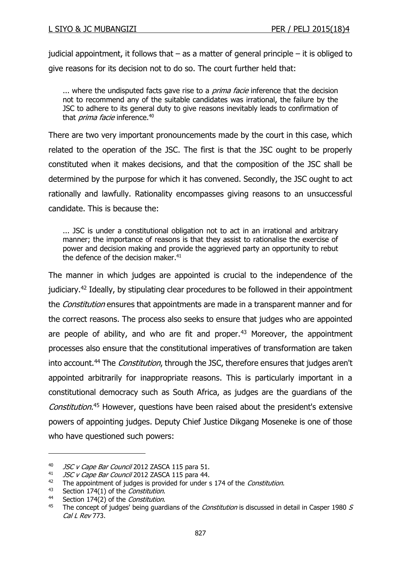judicial appointment, it follows that  $-$  as a matter of general principle  $-$  it is obliged to give reasons for its decision not to do so. The court further held that:

... where the undisputed facts gave rise to a *prima facie* inference that the decision not to recommend any of the suitable candidates was irrational, the failure by the JSC to adhere to its general duty to give reasons inevitably leads to confirmation of that *prima facie* inference.<sup>40</sup>

There are two very important pronouncements made by the court in this case, which related to the operation of the JSC. The first is that the JSC ought to be properly constituted when it makes decisions, and that the composition of the JSC shall be determined by the purpose for which it has convened. Secondly, the JSC ought to act rationally and lawfully. Rationality encompasses giving reasons to an unsuccessful candidate. This is because the:

... JSC is under a constitutional obligation not to act in an irrational and arbitrary manner; the importance of reasons is that they assist to rationalise the exercise of power and decision making and provide the aggrieved party an opportunity to rebut the defence of the decision maker. $41$ 

The manner in which judges are appointed is crucial to the independence of the judiciary.<sup>42</sup> Ideally, by stipulating clear procedures to be followed in their appointment the *Constitution* ensures that appointments are made in a transparent manner and for the correct reasons. The process also seeks to ensure that judges who are appointed are people of ability, and who are fit and proper.<sup>43</sup> Moreover, the appointment processes also ensure that the constitutional imperatives of transformation are taken into account.<sup>44</sup> The *Constitution*, through the JSC, therefore ensures that judges aren't appointed arbitrarily for inappropriate reasons. This is particularly important in a constitutional democracy such as South Africa, as judges are the guardians of the Constitution.<sup>45</sup> However, questions have been raised about the president's extensive powers of appointing judges. Deputy Chief Justice Dikgang Moseneke is one of those who have questioned such powers:

<sup>&</sup>lt;sup>40</sup> *JSC v Cape Bar Council* 2012 ZASCA 115 para 51.

<sup>&</sup>lt;sup>41</sup> *JSC v Cape Bar Council* 2012 ZASCA 115 para 44.

<sup>&</sup>lt;sup>42</sup> The appointment of judges is provided for under s 174 of the *Constitution*.

<sup>43</sup> Section 174(1) of the Constitution.<br>44 Section 174(2) of the Constitution.

Section 174(2) of the Constitution.

<sup>&</sup>lt;sup>45</sup> The concept of judges' being guardians of the *Constitution* is discussed in detail in Casper 1980  $S$ Cal L Rev 773.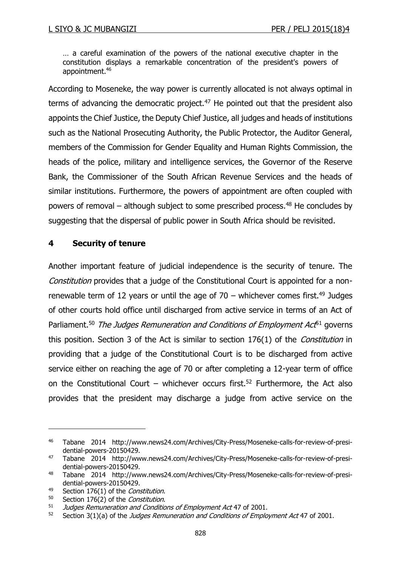… a careful examination of the powers of the national executive chapter in the constitution displays a remarkable concentration of the president's powers of appointment.<sup>46</sup>

According to Moseneke, the way power is currently allocated is not always optimal in terms of advancing the democratic project. $47$  He pointed out that the president also appoints the Chief Justice, the Deputy Chief Justice, all judges and heads of institutions such as the National Prosecuting Authority, the Public Protector, the Auditor General, members of the Commission for Gender Equality and Human Rights Commission, the heads of the police, military and intelligence services, the Governor of the Reserve Bank, the Commissioner of the South African Revenue Services and the heads of similar institutions. Furthermore, the powers of appointment are often coupled with powers of removal – although subject to some prescribed process.<sup>48</sup> He concludes by suggesting that the dispersal of public power in South Africa should be revisited.

### **4 Security of tenure**

Another important feature of judicial independence is the security of tenure. The Constitution provides that a judge of the Constitutional Court is appointed for a nonrenewable term of 12 years or until the age of  $70 -$  whichever comes first.<sup>49</sup> Judges of other courts hold office until discharged from active service in terms of an Act of Parliament.<sup>50</sup> The Judges Remuneration and Conditions of Employment Act<sup>51</sup> governs this position. Section 3 of the Act is similar to section  $176(1)$  of the *Constitution* in providing that a judge of the Constitutional Court is to be discharged from active service either on reaching the age of 70 or after completing a 12-year term of office on the Constitutional Court – whichever occurs first.<sup>52</sup> Furthermore, the Act also provides that the president may discharge a judge from active service on the

<sup>46</sup> Tabane 2014 http://www.news24.com/Archives/City-Press/Moseneke-calls-for-review-of-presidential-powers-20150429.

<sup>47</sup> Tabane 2014 http://www.news24.com/Archives/City-Press/Moseneke-calls-for-review-of-presidential-powers-20150429.

<sup>48</sup> Tabane 2014 http://www.news24.com/Archives/City-Press/Moseneke-calls-for-review-of-presidential-powers-20150429.

<sup>&</sup>lt;sup>49</sup> Section 176(1) of the *Constitution*.<br>
<sup>50</sup> Section 176(2) of the *Constitution* 

Section 176(2) of the Constitution.

 $51$  Judges Remuneration and Conditions of Employment Act 47 of 2001.

<sup>52</sup> Section 3(1)(a) of the *Judges Remuneration and Conditions of Employment Act* 47 of 2001.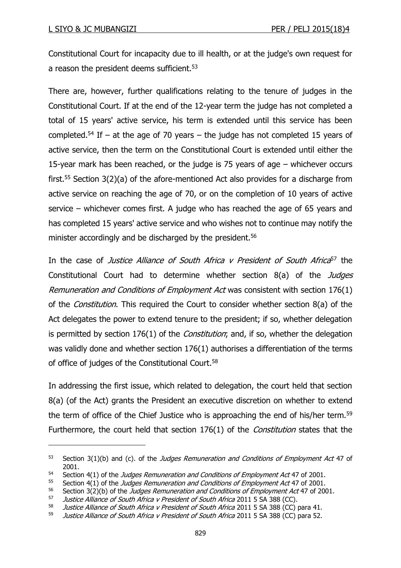Constitutional Court for incapacity due to ill health, or at the judge's own request for a reason the president deems sufficient.<sup>53</sup>

There are, however, further qualifications relating to the tenure of judges in the Constitutional Court. If at the end of the 12-year term the judge has not completed a total of 15 years' active service, his term is extended until this service has been completed.<sup>54</sup> If – at the age of 70 years – the judge has not completed 15 years of active service, then the term on the Constitutional Court is extended until either the 15-year mark has been reached, or the judge is 75 years of age – whichever occurs first.<sup>55</sup> Section  $3(2)(a)$  of the afore-mentioned Act also provides for a discharge from active service on reaching the age of 70, or on the completion of 10 years of active service – whichever comes first. A judge who has reached the age of 65 years and has completed 15 years' active service and who wishes not to continue may notify the minister accordingly and be discharged by the president.<sup>56</sup>

In the case of *Justice Alliance of South Africa v President of South Africa*<sup>57</sup> the Constitutional Court had to determine whether section 8(a) of the Judges Remuneration and Conditions of Employment Act was consistent with section 176(1) of the Constitution. This required the Court to consider whether section 8(a) of the Act delegates the power to extend tenure to the president; if so, whether delegation is permitted by section 176(1) of the *Constitution*; and, if so, whether the delegation was validly done and whether section 176(1) authorises a differentiation of the terms of office of judges of the Constitutional Court.<sup>58</sup>

In addressing the first issue, which related to delegation, the court held that section 8(a) (of the Act) grants the President an executive discretion on whether to extend the term of office of the Chief Justice who is approaching the end of his/her term.<sup>59</sup> Furthermore, the court held that section 176(1) of the *Constitution* states that the

<sup>53</sup> Section 3(1)(b) and (c). of the Judges Remuneration and Conditions of Employment Act 47 of 2001.

<sup>54</sup> Section 4(1) of the *Judges Remuneration and Conditions of Employment Act* 47 of 2001.<br>55 Section 4(1) of the *Judges Remuneration and Conditions of Employment Act* 47 of 2001.

<sup>55</sup> Section 4(1) of the *Judges Remuneration and Conditions of Employment Act* 47 of 2001.<br>56 Section 3(2)(b) of the *Judges Remuneration and Conditions of Employment Act* 47 of 200

<sup>56</sup> Section 3(2)(b) of the *Judges Remuneration and Conditions of Employment Act* 47 of 2001.<br>57 *Justice Alliance of South Africa y President of South Africa* 2011 5 SA 388 (CC)

Justice Alliance of South Africa v President of South Africa 2011 5 SA 388 (CC).

<sup>58</sup> Justice Alliance of South Africa v President of South Africa 2011 5 SA 388 (CC) para 41.

<sup>59</sup> Justice Alliance of South Africa v President of South Africa 2011 5 SA 388 (CC) para 52.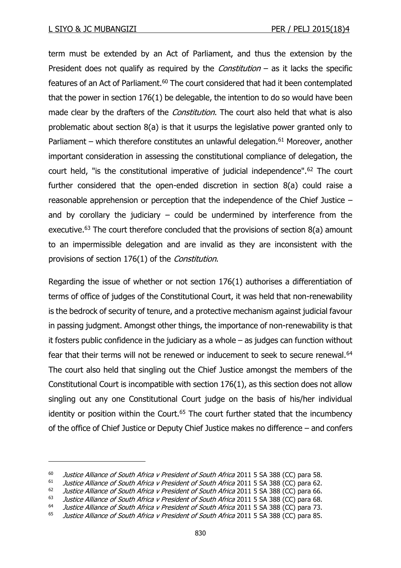term must be extended by an Act of Parliament, and thus the extension by the President does not qualify as required by the *Constitution*  $-$  as it lacks the specific features of an Act of Parliament.<sup>60</sup> The court considered that had it been contemplated that the power in section 176(1) be delegable, the intention to do so would have been made clear by the drafters of the *Constitution*. The court also held that what is also problematic about section 8(a) is that it usurps the legislative power granted only to Parliament – which therefore constitutes an unlawful delegation.<sup>61</sup> Moreover, another important consideration in assessing the constitutional compliance of delegation, the court held, "is the constitutional imperative of judicial independence".<sup>62</sup> The court further considered that the open-ended discretion in section 8(a) could raise a reasonable apprehension or perception that the independence of the Chief Justice – and by corollary the judiciary  $-$  could be undermined by interference from the executive.<sup>63</sup> The court therefore concluded that the provisions of section  $8(a)$  amount to an impermissible delegation and are invalid as they are inconsistent with the provisions of section 176(1) of the Constitution.

Regarding the issue of whether or not section 176(1) authorises a differentiation of terms of office of judges of the Constitutional Court, it was held that non-renewability is the bedrock of security of tenure, and a protective mechanism against judicial favour in passing judgment. Amongst other things, the importance of non-renewability is that it fosters public confidence in the judiciary as a whole – as judges can function without fear that their terms will not be renewed or inducement to seek to secure renewal.<sup>64</sup> The court also held that singling out the Chief Justice amongst the members of the Constitutional Court is incompatible with section 176(1), as this section does not allow singling out any one Constitutional Court judge on the basis of his/her individual identity or position within the Court. $65$  The court further stated that the incumbency of the office of Chief Justice or Deputy Chief Justice makes no difference – and confers

<sup>&</sup>lt;sup>60</sup> Justice Alliance of South Africa v President of South Africa 2011 5 SA 388 (CC) para 58.

<sup>&</sup>lt;sup>61</sup> Justice Alliance of South Africa v President of South Africa 2011 5 SA 388 (CC) para 62.<br><sup>62</sup> Justice Alliance of South Africa v President of South Africa 2011 5 SA 388 (CC) para 66

<sup>&</sup>lt;sup>62</sup> Justice Alliance of South Africa v President of South Africa 2011 5 SA 388 (CC) para 66.<br><sup>63</sup> Justice Alliance of South Africa v President of South Africa 2011 5 SA 388 (CC) para 68

Justice Alliance of South Africa v President of South Africa 2011 5 SA 388 (CC) para 68.

 $64$  Justice Alliance of South Africa v President of South Africa 2011 5 SA 388 (CC) para 73.

<sup>&</sup>lt;sup>65</sup> Justice Alliance of South Africa v President of South Africa 2011 5 SA 388 (CC) para 85.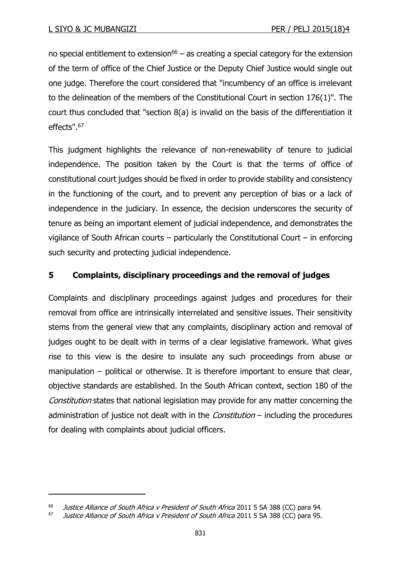no special entitlement to extension $66 -$  as creating a special category for the extension of the term of office of the Chief Justice or the Deputy Chief Justice would single out one judge. Therefore the court considered that "incumbency of an office is irrelevant to the delineation of the members of the Constitutional Court in section 176(1)". The court thus concluded that "section 8(a) is invalid on the basis of the differentiation it effects".<sup>67</sup>

This judgment highlights the relevance of non-renewability of tenure to judicial independence. The position taken by the Court is that the terms of office of constitutional court judges should be fixed in order to provide stability and consistency in the functioning of the court, and to prevent any perception of bias or a lack of independence in the judiciary. In essence, the decision underscores the security of tenure as being an important element of judicial independence, and demonstrates the vigilance of South African courts – particularly the Constitutional Court – in enforcing such security and protecting judicial independence.

# **5 Complaints, disciplinary proceedings and the removal of judges**

Complaints and disciplinary proceedings against judges and procedures for their removal from office are intrinsically interrelated and sensitive issues. Their sensitivity stems from the general view that any complaints, disciplinary action and removal of judges ought to be dealt with in terms of a clear legislative framework. What gives rise to this view is the desire to insulate any such proceedings from abuse or manipulation – political or otherwise. It is therefore important to ensure that clear, objective standards are established. In the South African context, section 180 of the Constitution states that national legislation may provide for any matter concerning the administration of justice not dealt with in the *Constitution* – including the procedures for dealing with complaints about judicial officers.

<sup>&</sup>lt;sup>66</sup> Justice Alliance of South Africa v President of South Africa 2011 5 SA 388 (CC) para 94.

 $67$  Justice Alliance of South Africa v President of South Africa 2011 5 SA 388 (CC) para 95.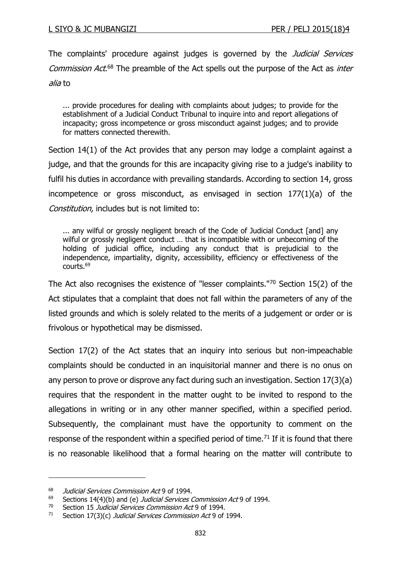The complaints' procedure against judges is governed by the *Judicial Services* Commission Act.<sup>68</sup> The preamble of the Act spells out the purpose of the Act as *inter* alia to

... provide procedures for dealing with complaints about judges; to provide for the establishment of a Judicial Conduct Tribunal to inquire into and report allegations of incapacity; gross incompetence or gross misconduct against judges; and to provide for matters connected therewith.

Section 14(1) of the Act provides that any person may lodge a complaint against a judge, and that the grounds for this are incapacity giving rise to a judge's inability to fulfil his duties in accordance with prevailing standards. According to section 14, gross incompetence or gross misconduct, as envisaged in section 177(1)(a) of the Constitution, includes but is not limited to:

... any wilful or grossly negligent breach of the Code of Judicial Conduct [and] any wilful or grossly negligent conduct … that is incompatible with or unbecoming of the holding of judicial office, including any conduct that is prejudicial to the independence, impartiality, dignity, accessibility, efficiency or effectiveness of the courts.<sup>69</sup>

The Act also recognises the existence of "lesser complaints."<sup>70</sup> Section 15(2) of the Act stipulates that a complaint that does not fall within the parameters of any of the listed grounds and which is solely related to the merits of a judgement or order or is frivolous or hypothetical may be dismissed.

Section 17(2) of the Act states that an inquiry into serious but non-impeachable complaints should be conducted in an inquisitorial manner and there is no onus on any person to prove or disprove any fact during such an investigation. Section 17(3)(a) requires that the respondent in the matter ought to be invited to respond to the allegations in writing or in any other manner specified, within a specified period. Subsequently, the complainant must have the opportunity to comment on the response of the respondent within a specified period of time.<sup>71</sup> If it is found that there is no reasonable likelihood that a formal hearing on the matter will contribute to

<sup>&</sup>lt;sup>68</sup> *Judicial Services Commission Act* 9 of 1994.

<sup>69</sup> Sections 14(4)(b) and (e) *Judicial Services Commission Act* 9 of 1994.<br><sup>70</sup> Section 15 *Judicial Services Commission Act* 9 of 1994

Section 15 *Judicial Services Commission Act* 9 of 1994.

<sup>&</sup>lt;sup>71</sup> Section 17(3)(c) *Judicial Services Commission Act* 9 of 1994.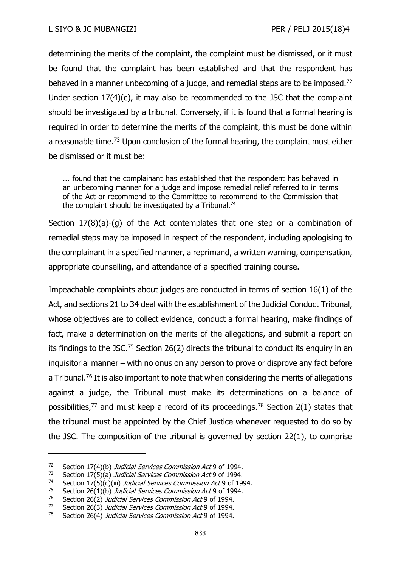determining the merits of the complaint, the complaint must be dismissed, or it must be found that the complaint has been established and that the respondent has behaved in a manner unbecoming of a judge, and remedial steps are to be imposed.<sup>72</sup> Under section 17(4)(c), it may also be recommended to the JSC that the complaint should be investigated by a tribunal. Conversely, if it is found that a formal hearing is required in order to determine the merits of the complaint, this must be done within a reasonable time.<sup>73</sup> Upon conclusion of the formal hearing, the complaint must either be dismissed or it must be:

... found that the complainant has established that the respondent has behaved in an unbecoming manner for a judge and impose remedial relief referred to in terms of the Act or recommend to the Committee to recommend to the Commission that the complaint should be investigated by a Tribunal.<sup>74</sup>

Section 17(8)(a)-(g) of the Act contemplates that one step or a combination of remedial steps may be imposed in respect of the respondent, including apologising to the complainant in a specified manner, a reprimand, a written warning, compensation, appropriate counselling, and attendance of a specified training course.

Impeachable complaints about judges are conducted in terms of section 16(1) of the Act, and sections 21 to 34 deal with the establishment of the Judicial Conduct Tribunal, whose objectives are to collect evidence, conduct a formal hearing, make findings of fact, make a determination on the merits of the allegations, and submit a report on its findings to the JSC.<sup>75</sup> Section 26(2) directs the tribunal to conduct its enquiry in an inquisitorial manner – with no onus on any person to prove or disprove any fact before a Tribunal.<sup>76</sup> It is also important to note that when considering the merits of allegations against a judge, the Tribunal must make its determinations on a balance of possibilities,<sup>77</sup> and must keep a record of its proceedings.<sup>78</sup> Section 2(1) states that the tribunal must be appointed by the Chief Justice whenever requested to do so by the JSC. The composition of the tribunal is governed by section 22(1), to comprise

<sup>&</sup>lt;sup>72</sup> Section 17(4)(b) Judicial Services Commission Act 9 of 1994.

<sup>&</sup>lt;sup>73</sup> Section 17(5)(a) *Judicial Services Commission Act* 9 of 1994.

<sup>&</sup>lt;sup>74</sup> Section  $17(5)(c)(iii)$  Judicial Services Commission Act 9 of 1994.

<sup>&</sup>lt;sup>75</sup> Section 26(1)(b) Judicial Services Commission Act 9 of 1994.<br><sup>76</sup> Section 26(2) Judicial Services Commission Act 9 of 1994.

<sup>&</sup>lt;sup>76</sup> Section 26(2) Judicial Services Commission Act 9 of 1994.<br><sup>77</sup> Section 26(3) Judicial Services Commission Act 9 of 1994

Section 26(3) Judicial Services Commission Act 9 of 1994.

<sup>&</sup>lt;sup>78</sup> Section 26(4) *Judicial Services Commission Act* 9 of 1994.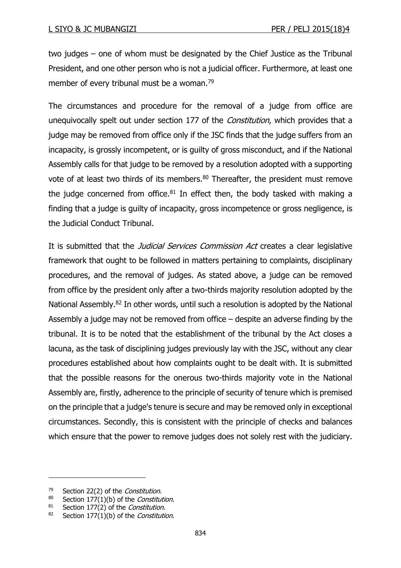two judges – one of whom must be designated by the Chief Justice as the Tribunal President, and one other person who is not a judicial officer. Furthermore, at least one member of every tribunal must be a woman.<sup>79</sup>

The circumstances and procedure for the removal of a judge from office are unequivocally spelt out under section 177 of the *Constitution*, which provides that a judge may be removed from office only if the JSC finds that the judge suffers from an incapacity, is grossly incompetent, or is guilty of gross misconduct, and if the National Assembly calls for that judge to be removed by a resolution adopted with a supporting vote of at least two thirds of its members.<sup>80</sup> Thereafter, the president must remove the judge concerned from office. $81$  In effect then, the body tasked with making a finding that a judge is guilty of incapacity, gross incompetence or gross negligence, is the Judicial Conduct Tribunal.

It is submitted that the *Judicial Services Commission Act* creates a clear legislative framework that ought to be followed in matters pertaining to complaints, disciplinary procedures, and the removal of judges. As stated above, a judge can be removed from office by the president only after a two-thirds majority resolution adopted by the National Assembly.<sup>82</sup> In other words, until such a resolution is adopted by the National Assembly a judge may not be removed from office – despite an adverse finding by the tribunal. It is to be noted that the establishment of the tribunal by the Act closes a lacuna, as the task of disciplining judges previously lay with the JSC, without any clear procedures established about how complaints ought to be dealt with. It is submitted that the possible reasons for the onerous two-thirds majority vote in the National Assembly are, firstly, adherence to the principle of security of tenure which is premised on the principle that a judge's tenure is secure and may be removed only in exceptional circumstances. Secondly, this is consistent with the principle of checks and balances which ensure that the power to remove judges does not solely rest with the judiciary.

<sup>&</sup>lt;sup>79</sup> Section 22(2) of the *Constitution*.<br><sup>80</sup> Section 177(1)(b) of the *Constitution*.

Section 177(1)(b) of the Constitution.

 $81$  Section 177(2) of the Constitution.

<sup>82</sup> Section 177(1)(b) of the *Constitution*.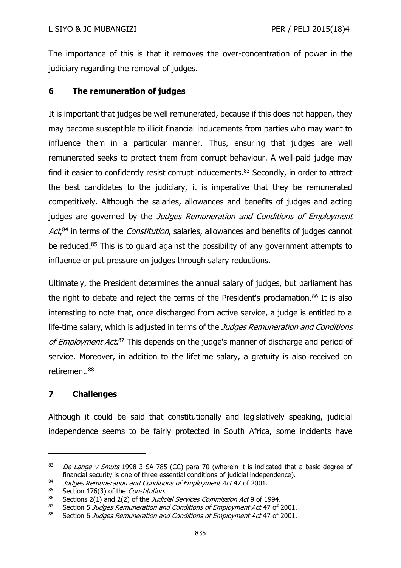The importance of this is that it removes the over-concentration of power in the judiciary regarding the removal of judges.

## **6 The remuneration of judges**

It is important that judges be well remunerated, because if this does not happen, they may become susceptible to illicit financial inducements from parties who may want to influence them in a particular manner. Thus, ensuring that judges are well remunerated seeks to protect them from corrupt behaviour. A well-paid judge may find it easier to confidently resist corrupt inducements. $83$  Secondly, in order to attract the best candidates to the judiciary, it is imperative that they be remunerated competitively. Although the salaries, allowances and benefits of judges and acting judges are governed by the Judges Remuneration and Conditions of Employment Act,<sup>84</sup> in terms of the *Constitution*, salaries, allowances and benefits of judges cannot be reduced.<sup>85</sup> This is to quard against the possibility of any government attempts to influence or put pressure on judges through salary reductions.

Ultimately, the President determines the annual salary of judges, but parliament has the right to debate and reject the terms of the President's proclamation.<sup>86</sup> It is also interesting to note that, once discharged from active service, a judge is entitled to a life-time salary, which is adjusted in terms of the Judges Remuneration and Conditions of Employment Act.<sup>87</sup> This depends on the judge's manner of discharge and period of service. Moreover, in addition to the lifetime salary, a gratuity is also received on retirement.<sup>88</sup>

# **7 Challenges**

-

Although it could be said that constitutionally and legislatively speaking, judicial independence seems to be fairly protected in South Africa, some incidents have

<sup>83</sup> De Lange v Smuts 1998 3 SA 785 (CC) para 70 (wherein it is indicated that a basic degree of financial security is one of three essential conditions of judicial independence).

<sup>&</sup>lt;sup>84</sup> Judges Remuneration and Conditions of Employment Act 47 of 2001.

<sup>&</sup>lt;sup>85</sup> Section 176(3) of the *Constitution*.

<sup>&</sup>lt;sup>86</sup> Sections 2(1) and 2(2) of the *Judicial Services Commission Act* 9 of 1994.<br><sup>87</sup> Section 5 *Judges Remuneration and Conditions of Employment Act* 47 of 3

Section 5 Judges Remuneration and Conditions of Employment Act 47 of 2001.

<sup>88</sup> Section 6 Judges Remuneration and Conditions of Employment Act 47 of 2001.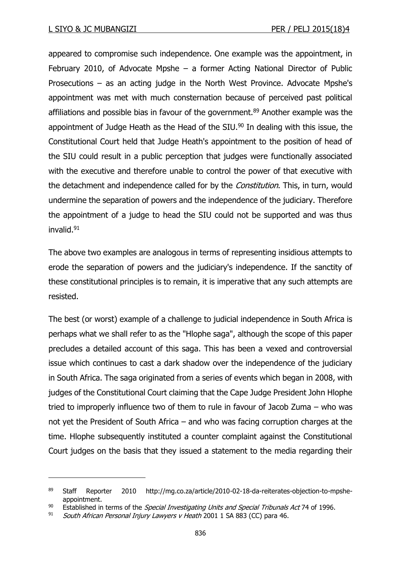appeared to compromise such independence. One example was the appointment, in February 2010, of Advocate Mpshe – a former Acting National Director of Public Prosecutions – as an acting judge in the North West Province. Advocate Mpshe's appointment was met with much consternation because of perceived past political affiliations and possible bias in favour of the government.<sup>89</sup> Another example was the appointment of Judge Heath as the Head of the SIU.<sup>90</sup> In dealing with this issue, the Constitutional Court held that Judge Heath's appointment to the position of head of the SIU could result in a public perception that judges were functionally associated with the executive and therefore unable to control the power of that executive with the detachment and independence called for by the *Constitution*. This, in turn, would undermine the separation of powers and the independence of the judiciary. Therefore the appointment of a judge to head the SIU could not be supported and was thus invalid.<sup>91</sup>

The above two examples are analogous in terms of representing insidious attempts to erode the separation of powers and the judiciary's independence. If the sanctity of these constitutional principles is to remain, it is imperative that any such attempts are resisted.

The best (or worst) example of a challenge to judicial independence in South Africa is perhaps what we shall refer to as the "Hlophe saga", although the scope of this paper precludes a detailed account of this saga. This has been a vexed and controversial issue which continues to cast a dark shadow over the independence of the judiciary in South Africa. The saga originated from a series of events which began in 2008, with judges of the Constitutional Court claiming that the Cape Judge President John Hlophe tried to improperly influence two of them to rule in favour of Jacob Zuma – who was not yet the President of South Africa – and who was facing corruption charges at the time. Hlophe subsequently instituted a counter complaint against the Constitutional Court judges on the basis that they issued a statement to the media regarding their

<sup>89</sup> Staff Reporter 2010 http://mg.co.za/article/2010-02-18-da-reiterates-objection-to-mpsheappointment.

<sup>90</sup> Established in terms of the *Special Investigating Units and Special Tribunals Act* 74 of 1996.

<sup>&</sup>lt;sup>91</sup> South African Personal Injury Lawyers v Heath 2001 1 SA 883 (CC) para 46.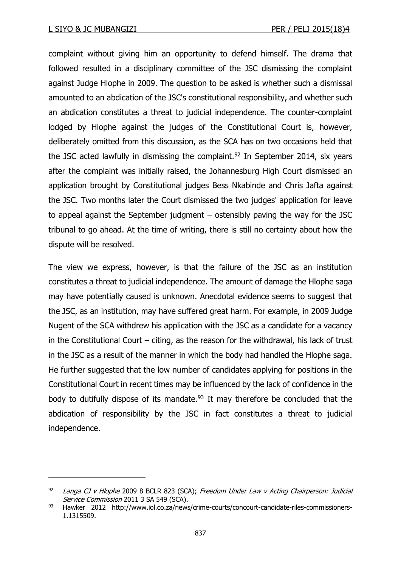complaint without giving him an opportunity to defend himself. The drama that followed resulted in a disciplinary committee of the JSC dismissing the complaint against Judge Hlophe in 2009. The question to be asked is whether such a dismissal amounted to an abdication of the JSC's constitutional responsibility, and whether such an abdication constitutes a threat to judicial independence. The counter-complaint lodged by Hlophe against the judges of the Constitutional Court is, however, deliberately omitted from this discussion, as the SCA has on two occasions held that the JSC acted lawfully in dismissing the complaint.<sup>92</sup> In September 2014, six years after the complaint was initially raised, the Johannesburg High Court dismissed an application brought by Constitutional judges Bess Nkabinde and Chris Jafta against the JSC. Two months later the Court dismissed the two judges' application for leave to appeal against the September judgment – ostensibly paving the way for the JSC tribunal to go ahead. At the time of writing, there is still no certainty about how the dispute will be resolved.

The view we express, however, is that the failure of the JSC as an institution constitutes a threat to judicial independence. The amount of damage the Hlophe saga may have potentially caused is unknown. Anecdotal evidence seems to suggest that the JSC, as an institution, may have suffered great harm. For example, in 2009 Judge Nugent of the SCA withdrew his application with the JSC as a candidate for a vacancy in the Constitutional Court – citing, as the reason for the withdrawal, his lack of trust in the JSC as a result of the manner in which the body had handled the Hlophe saga. He further suggested that the low number of candidates applying for positions in the Constitutional Court in recent times may be influenced by the lack of confidence in the body to dutifully dispose of its mandate. $93$  It may therefore be concluded that the abdication of responsibility by the JSC in fact constitutes a threat to judicial independence.

 $92$  Langa CJ v Hlophe 2009 8 BCLR 823 (SCA); Freedom Under Law v Acting Chairperson: Judicial Service Commission 2011 3 SA 549 (SCA).

<sup>93</sup> Hawker 2012 http://www.iol.co.za/news/crime-courts/concourt-candidate-riles-commissioners-1.1315509.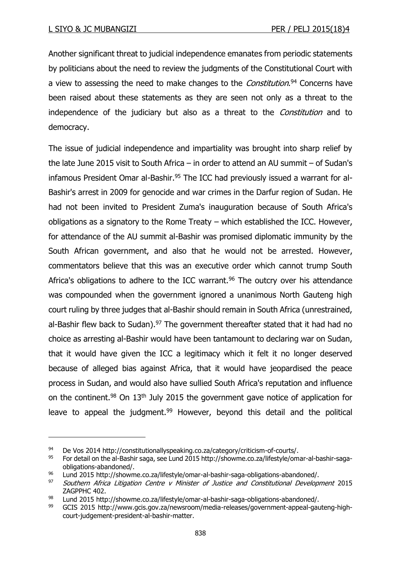Another significant threat to judicial independence emanates from periodic statements by politicians about the need to review the judgments of the Constitutional Court with a view to assessing the need to make changes to the *Constitution*.<sup>94</sup> Concerns have been raised about these statements as they are seen not only as a threat to the independence of the judiciary but also as a threat to the *Constitution* and to democracy.

The issue of judicial independence and impartiality was brought into sharp relief by the late June 2015 visit to South Africa – in order to attend an AU summit – of Sudan's infamous President Omar al-Bashir. <sup>95</sup> The ICC had previously issued a warrant for al-Bashir's arrest in 2009 for genocide and war crimes in the Darfur region of Sudan. He had not been invited to President Zuma's inauguration because of South Africa's obligations as a signatory to the Rome Treaty – which established the ICC. However, for attendance of the AU summit al-Bashir was promised diplomatic immunity by the South African government, and also that he would not be arrested. However, commentators believe that this was an executive order which cannot trump South Africa's obligations to adhere to the ICC warrant. $96$  The outcry over his attendance was compounded when the government ignored a unanimous North Gauteng high court ruling by three judges that al-Bashir should remain in South Africa (unrestrained, al-Bashir flew back to Sudan). $97$  The government thereafter stated that it had had no choice as arresting al-Bashir would have been tantamount to declaring war on Sudan, that it would have given the ICC a legitimacy which it felt it no longer deserved because of alleged bias against Africa, that it would have jeopardised the peace process in Sudan, and would also have sullied South Africa's reputation and influence on the continent.<sup>98</sup> On  $13<sup>th</sup>$  July 2015 the government gave notice of application for leave to appeal the judgment.<sup>99</sup> However, beyond this detail and the political

<sup>94</sup> De Vos 2014 http://constitutionallyspeaking.co.za/category/criticism-of-courts/.

<sup>95</sup> For detail on the al-Bashir saga, see Lund 2015 http://showme.co.za/lifestyle/omar-al-bashir-sagaobligations-abandoned/.

<sup>96</sup> Lund 2015 http://showme.co.za/lifestyle/omar-al-bashir-saga-obligations-abandoned/.

 $97$  Southern Africa Litigation Centre v Minister of Justice and Constitutional Development 2015 ZAGPPHC 402.

<sup>98</sup> Lund 2015 http://showme.co.za/lifestyle/omar-al-bashir-saga-obligations-abandoned/.

<sup>99</sup> GCIS 2015 http://www.gcis.gov.za/newsroom/media-releases/government-appeal-gauteng-highcourt-judgement-president-al-bashir-matter.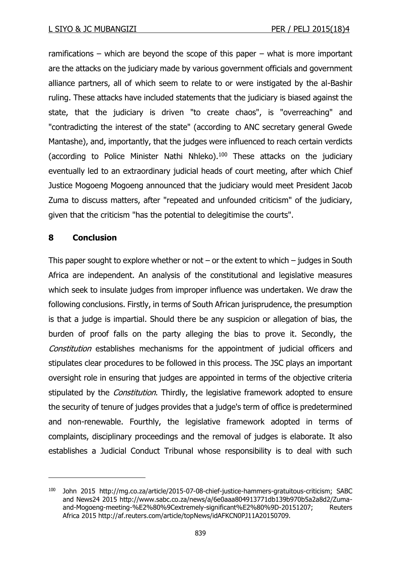ramifications – which are beyond the scope of this paper – what is more important are the attacks on the judiciary made by various government officials and government alliance partners, all of which seem to relate to or were instigated by the al-Bashir ruling. These attacks have included statements that the judiciary is biased against the state, that the judiciary is driven "to create chaos", is "overreaching" and "contradicting the interest of the state" (according to ANC secretary general Gwede Mantashe), and, importantly, that the judges were influenced to reach certain verdicts (according to Police Minister Nathi Nhleko). <sup>100</sup> These attacks on the judiciary eventually led to an extraordinary judicial heads of court meeting, after which Chief Justice Mogoeng Mogoeng announced that the judiciary would meet President Jacob Zuma to discuss matters, after "repeated and unfounded criticism" of the judiciary, given that the criticism "has the potential to delegitimise the courts".

## **8 Conclusion**

-

This paper sought to explore whether or not – or the extent to which – judges in South Africa are independent. An analysis of the constitutional and legislative measures which seek to insulate judges from improper influence was undertaken. We draw the following conclusions. Firstly, in terms of South African jurisprudence, the presumption is that a judge is impartial. Should there be any suspicion or allegation of bias, the burden of proof falls on the party alleging the bias to prove it. Secondly, the Constitution establishes mechanisms for the appointment of judicial officers and stipulates clear procedures to be followed in this process. The JSC plays an important oversight role in ensuring that judges are appointed in terms of the objective criteria stipulated by the *Constitution*. Thirdly, the legislative framework adopted to ensure the security of tenure of judges provides that a judge's term of office is predetermined and non-renewable. Fourthly, the legislative framework adopted in terms of complaints, disciplinary proceedings and the removal of judges is elaborate. It also establishes a Judicial Conduct Tribunal whose responsibility is to deal with such

<sup>100</sup> John 2015 http://mg.co.za/article/2015-07-08-chief-justice-hammers-gratuitous-criticism; SABC and News24 2015 http://www.sabc.co.za/news/a/6e0aaa804913771db139b970b5a2a8d2/Zumaand-Mogoeng-meeting-%E2%80%9Cextremely-significant%E2%80%9D-20151207; Reuters Africa 2015 http://af.reuters.com/article/topNews/idAFKCN0PJ11A20150709.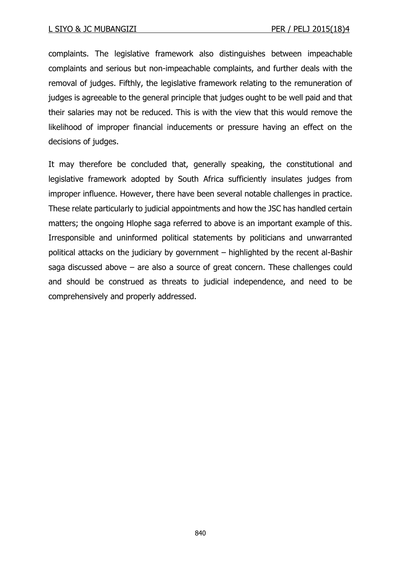complaints. The legislative framework also distinguishes between impeachable complaints and serious but non-impeachable complaints, and further deals with the removal of judges. Fifthly, the legislative framework relating to the remuneration of judges is agreeable to the general principle that judges ought to be well paid and that their salaries may not be reduced. This is with the view that this would remove the likelihood of improper financial inducements or pressure having an effect on the decisions of judges.

It may therefore be concluded that, generally speaking, the constitutional and legislative framework adopted by South Africa sufficiently insulates judges from improper influence. However, there have been several notable challenges in practice. These relate particularly to judicial appointments and how the JSC has handled certain matters; the ongoing Hlophe saga referred to above is an important example of this. Irresponsible and uninformed political statements by politicians and unwarranted political attacks on the judiciary by government – highlighted by the recent al-Bashir saga discussed above – are also a source of great concern. These challenges could and should be construed as threats to judicial independence, and need to be comprehensively and properly addressed.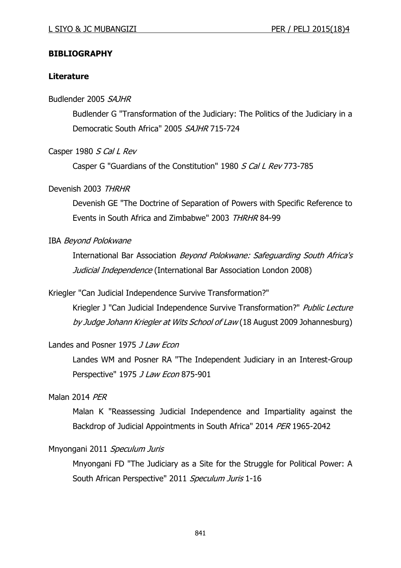### **BIBLIOGRAPHY**

#### **Literature**

#### Budlender 2005 SAJHR

Budlender G "Transformation of the Judiciary: The Politics of the Judiciary in a Democratic South Africa" 2005 SAJHR 715-724

### Casper 1980 S Cal L Rev

Casper G "Guardians of the Constitution" 1980 S Cal L Rev 773-785

## Devenish 2003 THRHR

Devenish GE "The Doctrine of Separation of Powers with Specific Reference to Events in South Africa and Zimbabwe" 2003 THRHR 84-99

### IBA Beyond Polokwane

International Bar Association *Beyond Polokwane: Safeguarding South Africa's* Judicial Independence (International Bar Association London 2008)

#### Kriegler "Can Judicial Independence Survive Transformation?"

Kriegler J "Can Judicial Independence Survive Transformation?" Public Lecture by Judge Johann Kriegler at Wits School of Law (18 August 2009 Johannesburg)

#### Landes and Posner 1975 J Law Econ

Landes WM and Posner RA "The Independent Judiciary in an Interest-Group Perspective" 1975 J Law Econ 875-901

#### Malan 2014 PER

Malan K "Reassessing Judicial Independence and Impartiality against the Backdrop of Judicial Appointments in South Africa" 2014 PER 1965-2042

## Mnyongani 2011 Speculum Juris

Mnyongani FD "The Judiciary as a Site for the Struggle for Political Power: A South African Perspective" 2011 Speculum Juris 1-16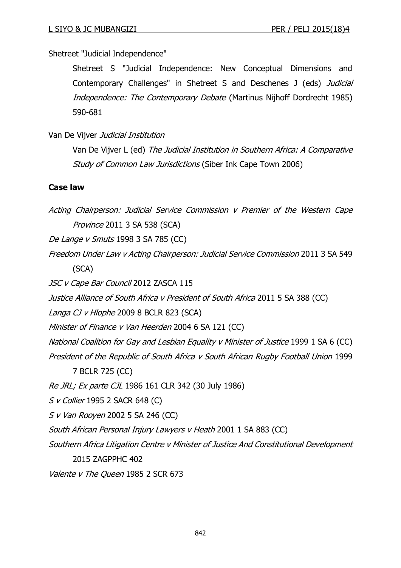Shetreet "Judicial Independence"

Shetreet S "Judicial Independence: New Conceptual Dimensions and Contemporary Challenges" in Shetreet S and Deschenes J (eds) Judicial Independence: The Contemporary Debate (Martinus Nijhoff Dordrecht 1985) 590-681

Van De Vijver Judicial Institution

Van De Vijver L (ed) The Judicial Institution in Southern Africa: A Comparative Study of Common Law Jurisdictions (Siber Ink Cape Town 2006)

### **Case law**

Acting Chairperson: Judicial Service Commission v Premier of the Western Cape Province 2011 3 SA 538 (SCA) De Lange v Smuts 1998 3 SA 785 (CC) Freedom Under Law v Acting Chairperson: Judicial Service Commission 2011 3 SA 549 (SCA) JSC v Cape Bar Council 2012 ZASCA 115 Justice Alliance of South Africa v President of South Africa 2011 5 SA 388 (CC) Langa CJ v Hlophe 2009 8 BCLR 823 (SCA) Minister of Finance v Van Heerden 2004 6 SA 121 (CC) National Coalition for Gay and Lesbian Equality v Minister of Justice 1999 1 SA 6 (CC) President of the Republic of South Africa v South African Rugby Football Union 1999 7 BCLR 725 (CC) Re JRL; Ex parte CJL 1986 161 CLR 342 (30 July 1986) S v Collier 1995 2 SACR 648 (C) S v Van Rooyen 2002 5 SA 246 (CC) South African Personal Injury Lawyers v Heath 2001 1 SA 883 (CC) Southern Africa Litigation Centre v Minister of Justice And Constitutional Development 2015 ZAGPPHC 402 Valente v The Queen 1985 2 SCR 673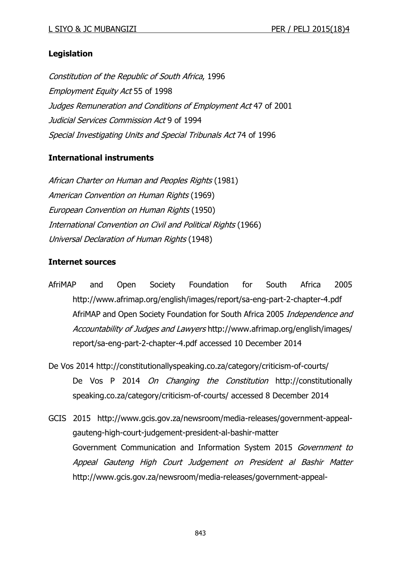# **Legislation**

Constitution of the Republic of South Africa, 1996 Employment Equity Act 55 of 1998 Judges Remuneration and Conditions of Employment Act 47 of 2001 Judicial Services Commission Act 9 of 1994 Special Investigating Units and Special Tribunals Act 74 of 1996

## **International instruments**

African Charter on Human and Peoples Rights (1981) American Convention on Human Rights (1969) European Convention on Human Rights (1950) International Convention on Civil and Political Rights (1966) Universal Declaration of Human Rights (1948)

## **Internet sources**

- AfriMAP and Open Society Foundation for South Africa 2005 http://www.afrimap.org/english/images/report/sa-eng-part-2-chapter-4.pdf AfriMAP and Open Society Foundation for South Africa 2005 Independence and Accountability of Judges and Lawyers http://www.afrimap.org/english/images/ report/sa-eng-part-2-chapter-4.pdf accessed 10 December 2014
- De Vos 2014 http://constitutionallyspeaking.co.za/category/criticism-of-courts/ De Vos P 2014 On Changing the Constitution http://constitutionally speaking.co.za/category/criticism-of-courts/ accessed 8 December 2014
- GCIS 2015 http://www.gcis.gov.za/newsroom/media-releases/government-appealgauteng-high-court-judgement-president-al-bashir-matter Government Communication and Information System 2015 Government to Appeal Gauteng High Court Judgement on President al Bashir Matter http://www.gcis.gov.za/newsroom/media-releases/government-appeal-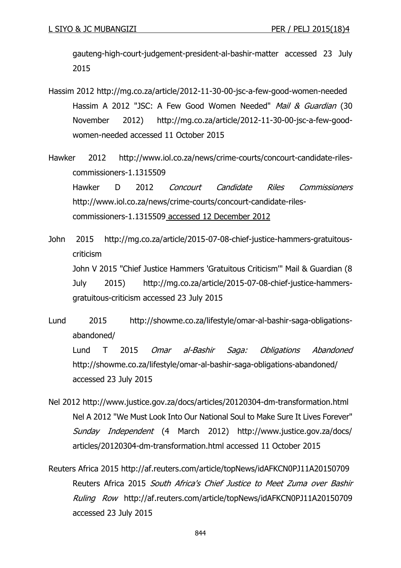gauteng-high-court-judgement-president-al-bashir-matter accessed 23 July 2015

- Hassim 2012 http://mg.co.za/article/2012-11-30-00-jsc-a-few-good-women-needed Hassim A 2012 "JSC: A Few Good Women Needed" Mail & Guardian (30 November 2012) http://mg.co.za/article/2012-11-30-00-jsc-a-few-goodwomen-needed accessed 11 October 2015
- Hawker 2012 http://www.iol.co.za/news/crime-courts/concourt-candidate-rilescommissioners-1.1315509 Hawker D 2012 Concourt Candidate Riles Commissioners http://www.iol.co.za/news/crime-courts/concourt-candidate-rilescommissioners-1.1315509 accessed 12 December 2012
- John 2015 http://mg.co.za/article/2015-07-08-chief-justice-hammers-gratuitouscriticism John V 2015 "Chief Justice Hammers 'Gratuitous Criticism'" Mail & Guardian (8 July 2015) http://mg.co.za/article/2015-07-08-chief-justice-hammersgratuitous-criticism accessed 23 July 2015
- Lund 2015 http://showme.co.za/lifestyle/omar-al-bashir-saga-obligationsabandoned/ Lund T 2015 Omar al-Bashir Saga: Obligations Abandoned http://showme.co.za/lifestyle/omar-al-bashir-saga-obligations-abandoned/ accessed 23 July 2015
- Nel 2012 http://www.justice.gov.za/docs/articles/20120304-dm-transformation.html Nel A 2012 "We Must Look Into Our National Soul to Make Sure It Lives Forever" Sunday Independent (4 March 2012) http://www.justice.gov.za/docs/ articles/20120304-dm-transformation.html accessed 11 October 2015
- Reuters Africa 2015 http://af.reuters.com/article/topNews/idAFKCN0PJ11A20150709 Reuters Africa 2015 South Africa's Chief Justice to Meet Zuma over Bashir Ruling Row http://af.reuters.com/article/topNews/idAFKCN0PJ11A20150709 accessed 23 July 2015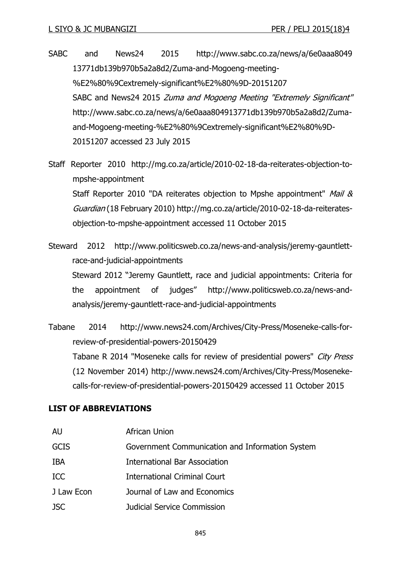- SABC and News24 2015 http://www.sabc.co.za/news/a/6e0aaa8049 13771db139b970b5a2a8d2/Zuma-and-Mogoeng-meeting- %E2%80%9Cextremely-significant%E2%80%9D-20151207 SABC and News24 2015 Zuma and Mogoeng Meeting "Extremely Significant" http://www.sabc.co.za/news/a/6e0aaa804913771db139b970b5a2a8d2/Zumaand-Mogoeng-meeting-%E2%80%9Cextremely-significant%E2%80%9D-20151207 accessed 23 July 2015
- Staff Reporter 2010 http://mg.co.za/article/2010-02-18-da-reiterates-objection-tompshe-appointment Staff Reporter 2010 "DA reiterates objection to Mpshe appointment" Mail & Guardian (18 February 2010) http://mg.co.za/article/2010-02-18-da-reiteratesobjection-to-mpshe-appointment accessed 11 October 2015
- Steward 2012 http://www.politicsweb.co.za/news-and-analysis/jeremy-gauntlettrace-and-judicial-appointments Steward 2012 "Jeremy Gauntlett, race and judicial appointments: Criteria for the appointment of judges" http://www.politicsweb.co.za/news-andanalysis/jeremy-gauntlett-race-and-judicial-appointments
- Tabane 2014 http://www.news24.com/Archives/City-Press/Moseneke-calls-forreview-of-presidential-powers-20150429 Tabane R 2014 "Moseneke calls for review of presidential powers" City Press (12 November 2014) http://www.news24.com/Archives/City-Press/Mosenekecalls-for-review-of-presidential-powers-20150429 accessed 11 October 2015

## **LIST OF ABBREVIATIONS**

| <b>AU</b>   | <b>African Union</b>                            |
|-------------|-------------------------------------------------|
| <b>GCIS</b> | Government Communication and Information System |
| <b>IBA</b>  | <b>International Bar Association</b>            |
| <b>ICC</b>  | International Criminal Court                    |
| J Law Econ  | Journal of Law and Economics                    |
| <b>JSC</b>  | Judicial Service Commission                     |